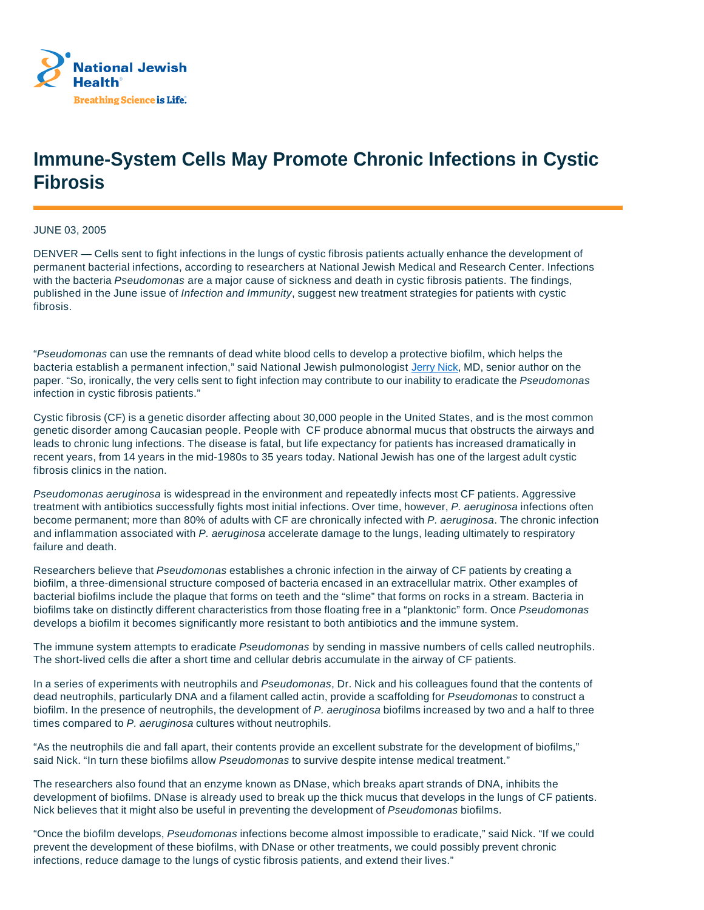

## **Immune-System Cells May Promote Chronic Infections in Cystic Fibrosis**

JUNE 03, 2005

DENVER — Cells sent to fight infections in the lungs of cystic fibrosis patients actually enhance the development of permanent bacterial infections, according to researchers at National Jewish Medical and Research Center. Infections with the bacteria Pseudomonas are a major cause of sickness and death in cystic fibrosis patients. The findings, published in the June issue of Infection and Immunity, suggest new treatment strategies for patients with cystic fibrosis.

"Pseudomonas can use the remnants of dead white blood cells to develop a protective biofilm, which helps the bacteria establish a permanent infection," said National Jewish pulmonologist Jerry Nick, MD, senior author on the paper. "So, ironically, the very cells sent to fight infection may contribute to our inability to eradicate the Pseudomonas infection in cystic fibrosis patients."

Cystic fibrosis (CF) is a genetic disorder affecting about 30,000 people in the United States, and is the most common genetic disorder among Caucasian people. People with CF produce abnormal mucus that obstructs the airways and leads to chronic lung infections. The disease is fatal, but life expectancy for patients has increased dramatically in recent years, from 14 years in the mid-1980s to 35 years today. National Jewish has one of the largest adult cystic fibrosis clinics in the nation.

Pseudomonas aeruginosa is widespread in the environment and repeatedly infects most CF patients. Aggressive treatment with antibiotics successfully fights most initial infections. Over time, however, P. aeruginosa infections often become permanent; more than 80% of adults with CF are chronically infected with P. aeruginosa. The chronic infection and inflammation associated with P. aeruginosa accelerate damage to the lungs, leading ultimately to respiratory failure and death.

Researchers believe that Pseudomonas establishes a chronic infection in the airway of CF patients by creating a biofilm, a three-dimensional structure composed of bacteria encased in an extracellular matrix. Other examples of bacterial biofilms include the plaque that forms on teeth and the "slime" that forms on rocks in a stream. Bacteria in biofilms take on distinctly different characteristics from those floating free in a "planktonic" form. Once Pseudomonas develops a biofilm it becomes significantly more resistant to both antibiotics and the immune system.

The immune system attempts to eradicate Pseudomonas by sending in massive numbers of cells called neutrophils. The short-lived cells die after a short time and cellular debris accumulate in the airway of CF patients.

In a series of experiments with neutrophils and Pseudomonas, Dr. Nick and his colleagues found that the contents of dead neutrophils, particularly DNA and a filament called actin, provide a scaffolding for Pseudomonas to construct a biofilm. In the presence of neutrophils, the development of P. aeruginosa biofilms increased by two and a half to three times compared to P. aeruginosa cultures without neutrophils.

"As the neutrophils die and fall apart, their contents provide an excellent substrate for the development of biofilms," said Nick. "In turn these biofilms allow Pseudomonas to survive despite intense medical treatment."

The researchers also found that an enzyme known as DNase, which breaks apart strands of DNA, inhibits the development of biofilms. DNase is already used to break up the thick mucus that develops in the lungs of CF patients. Nick believes that it might also be useful in preventing the development of Pseudomonas biofilms.

"Once the biofilm develops, Pseudomonas infections become almost impossible to eradicate," said Nick. "If we could prevent the development of these biofilms, with DNase or other treatments, we could possibly prevent chronic infections, reduce damage to the lungs of cystic fibrosis patients, and extend their lives."